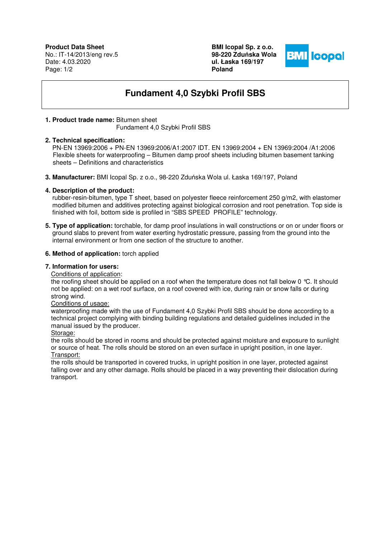**Product Data Sheet** No.: IT-14/2013/eng rev.5 Date: 4.03.2020 Page: 1/2

**BMI Icopal Sp. z o.o. 98-220 Zdu**ń**ska Wola ul. Łaska 169/197 Poland** 



# **Fundament 4,0 Szybki Profil SBS**

## **1. Product trade name:** Bitumen sheet

Fundament 4,0 Szybki Profil SBS

## **2. Technical specification:**

 PN-EN 13969:2006 + PN-EN 13969:2006/A1:2007 IDT. EN 13969:2004 + EN 13969:2004 /A1:2006 Flexible sheets for waterproofing – Bitumen damp proof sheets including bitumen basement tanking sheets – Definitions and characteristics

**3. Manufacturer:** BMI Icopal Sp. z o.o., 98-220 Zduńska Wola ul. Łaska 169/197, Poland

# **4. Description of the product:**

 rubber-resin-bitumen, type T sheet, based on polyester fleece reinforcement 250 g/m2, with elastomer modified bitumen and additives protecting against biological corrosion and root penetration. Top side is finished with foil, bottom side is profiled in "SBS SPEED PROFILE" technology.

**5. Type of application:** torchable, for damp proof insulations in wall constructions or on or under floors or ground slabs to prevent from water exerting hydrostatic pressure, passing from the ground into the internal environment or from one section of the structure to another.

## **6. Method of application:** torch applied

#### **7. Information for users:**

Conditions of application:

the roofing sheet should be applied on a roof when the temperature does not fall below 0 °C. It should not be applied: on a wet roof surface, on a roof covered with ice, during rain or snow falls or during strong wind.

## Conditions of usage:

waterproofing made with the use of Fundament 4,0 Szybki Profil SBS should be done according to a technical project complying with binding building regulations and detailed guidelines included in the manual issued by the producer.

## Storage:

the rolls should be stored in rooms and should be protected against moisture and exposure to sunlight or source of heat. The rolls should be stored on an even surface in upright position, in one layer. Transport:

the rolls should be transported in covered trucks, in upright position in one layer, protected against falling over and any other damage. Rolls should be placed in a way preventing their dislocation during transport.